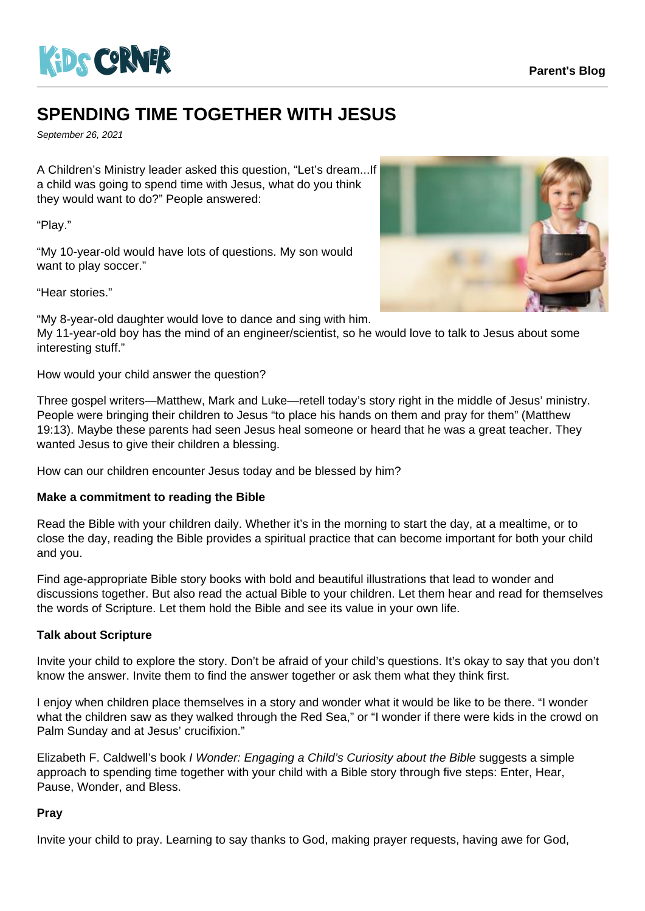

## **SPENDING TIME TOGETHER WITH JESUS**

September 26, 2021

A Children's Ministry leader asked this question, "Let's dream...If a child was going to spend time with Jesus, what do you think they would want to do?" People answered:

"Play."

"My 10-year-old would have lots of questions. My son would want to play soccer."

"Hear stories."

"My 8-year-old daughter would love to dance and sing with him.

My 11-year-old boy has the mind of an engineer/scientist, so he would love to talk to Jesus about some interesting stuff."

How would your child answer the question?

Three gospel writers—Matthew, Mark and Luke—retell today's story right in the middle of Jesus' ministry. People were bringing their children to Jesus "to place his hands on them and pray for them" (Matthew 19:13). Maybe these parents had seen Jesus heal someone or heard that he was a great teacher. They wanted Jesus to give their children a blessing.

How can our children encounter Jesus today and be blessed by him?

## **Make a commitment to reading the Bible**

Read the Bible with your children daily. Whether it's in the morning to start the day, at a mealtime, or to close the day, reading the Bible provides a spiritual practice that can become important for both your child and you.

Find age-appropriate Bible story books with bold and beautiful illustrations that lead to wonder and discussions together. But also read the actual Bible to your children. Let them hear and read for themselves the words of Scripture. Let them hold the Bible and see its value in your own life.

## **Talk about Scripture**

Invite your child to explore the story. Don't be afraid of your child's questions. It's okay to say that you don't know the answer. Invite them to find the answer together or ask them what they think first.

I enjoy when children place themselves in a story and wonder what it would be like to be there. "I wonder what the children saw as they walked through the Red Sea," or "I wonder if there were kids in the crowd on Palm Sunday and at Jesus' crucifixion."

Elizabeth F. Caldwell's book I Wonder: Engaging a Child's Curiosity about the Bible suggests a simple approach to spending time together with your child with a Bible story through five steps: Enter, Hear, Pause, Wonder, and Bless.

## **Pray**

Invite your child to pray. Learning to say thanks to God, making prayer requests, having awe for God,